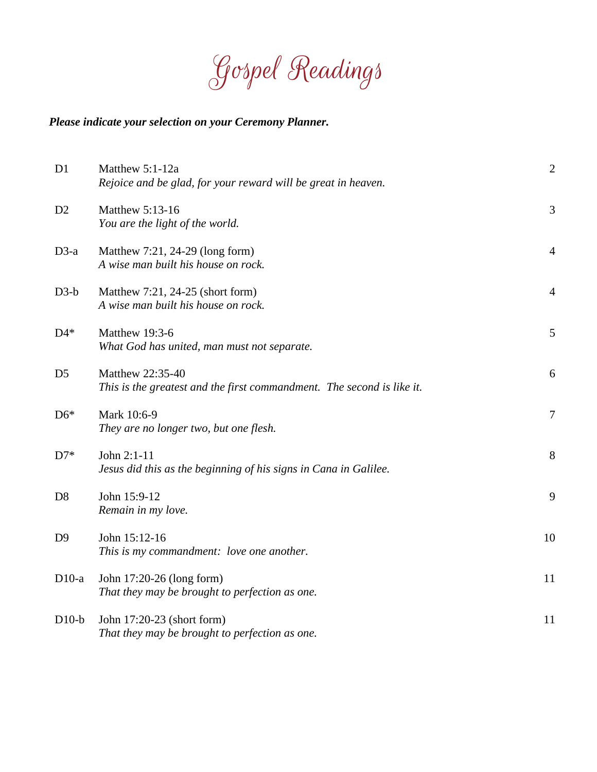Gospel Readings

# *Please indicate your selection on your Ceremony Planner.*

| D1             | Matthew 5:1-12a<br>Rejoice and be glad, for your reward will be great in heaven.           | $\overline{2}$ |
|----------------|--------------------------------------------------------------------------------------------|----------------|
| D2             | Matthew 5:13-16<br>You are the light of the world.                                         | 3              |
| $D3-a$         | Matthew 7:21, 24-29 (long form)<br>A wise man built his house on rock.                     | $\overline{4}$ |
| $D3-b$         | Matthew 7:21, 24-25 (short form)<br>A wise man built his house on rock.                    | $\overline{4}$ |
| $D4*$          | Matthew 19:3-6<br>What God has united, man must not separate.                              | 5              |
| D <sub>5</sub> | Matthew 22:35-40<br>This is the greatest and the first commandment. The second is like it. | 6              |
| $D6*$          | Mark 10:6-9<br>They are no longer two, but one flesh.                                      | $\overline{7}$ |
| $D7*$          | John 2:1-11<br>Jesus did this as the beginning of his signs in Cana in Galilee.            | 8              |
| D <sub>8</sub> | John 15:9-12<br>Remain in my love.                                                         | 9              |
| D <sub>9</sub> | John 15:12-16<br>This is my commandment: love one another.                                 | 10             |
| $D10-a$        | John 17:20-26 (long form)<br>That they may be brought to perfection as one.                | 11             |
| $D10-b$        | John 17:20-23 (short form)<br>That they may be brought to perfection as one.               | 11             |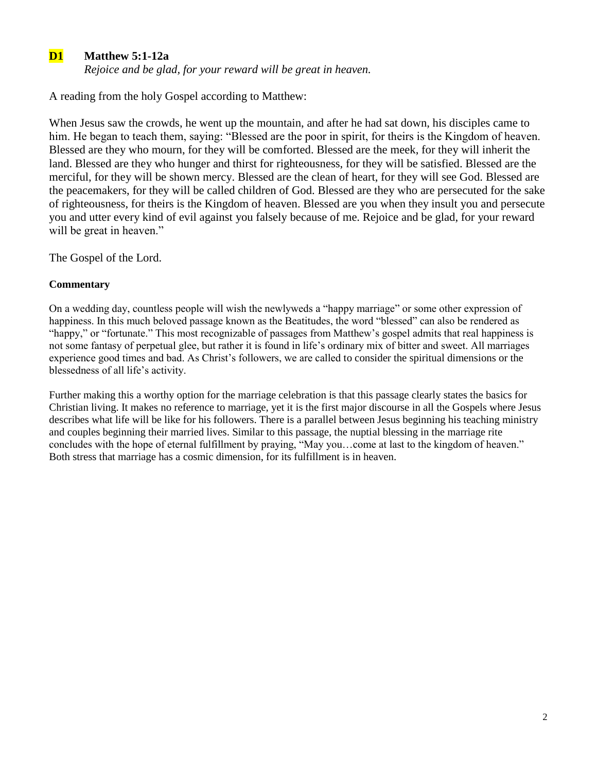# **D1 Matthew 5:1-12a**

*Rejoice and be glad, for your reward will be great in heaven.*

A reading from the holy Gospel according to Matthew:

When Jesus saw the crowds, he went up the mountain, and after he had sat down, his disciples came to him. He began to teach them, saying: "Blessed are the poor in spirit, for theirs is the Kingdom of heaven. Blessed are they who mourn, for they will be comforted. Blessed are the meek, for they will inherit the land. Blessed are they who hunger and thirst for righteousness, for they will be satisfied. Blessed are the merciful, for they will be shown mercy. Blessed are the clean of heart, for they will see God. Blessed are the peacemakers, for they will be called children of God. Blessed are they who are persecuted for the sake of righteousness, for theirs is the Kingdom of heaven. Blessed are you when they insult you and persecute you and utter every kind of evil against you falsely because of me. Rejoice and be glad, for your reward will be great in heaven."

The Gospel of the Lord.

### **Commentary**

On a wedding day, countless people will wish the newlyweds a "happy marriage" or some other expression of happiness. In this much beloved passage known as the Beatitudes, the word "blessed" can also be rendered as "happy," or "fortunate." This most recognizable of passages from Matthew's gospel admits that real happiness is not some fantasy of perpetual glee, but rather it is found in life's ordinary mix of bitter and sweet. All marriages experience good times and bad. As Christ's followers, we are called to consider the spiritual dimensions or the blessedness of all life's activity.

Further making this a worthy option for the marriage celebration is that this passage clearly states the basics for Christian living. It makes no reference to marriage, yet it is the first major discourse in all the Gospels where Jesus describes what life will be like for his followers. There is a parallel between Jesus beginning his teaching ministry and couples beginning their married lives. Similar to this passage, the nuptial blessing in the marriage rite concludes with the hope of eternal fulfillment by praying, "May you…come at last to the kingdom of heaven." Both stress that marriage has a cosmic dimension, for its fulfillment is in heaven.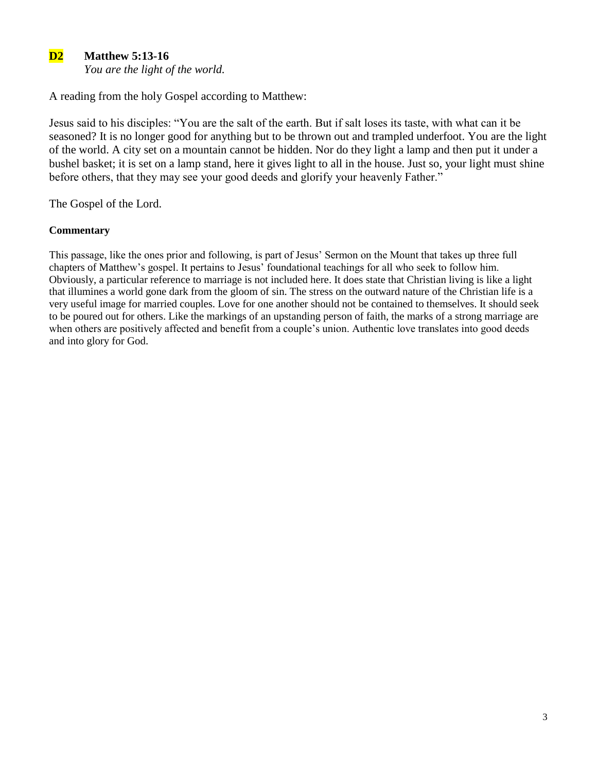# **D2 Matthew 5:13-16**

*You are the light of the world.*

A reading from the holy Gospel according to Matthew:

Jesus said to his disciples: "You are the salt of the earth. But if salt loses its taste, with what can it be seasoned? It is no longer good for anything but to be thrown out and trampled underfoot. You are the light of the world. A city set on a mountain cannot be hidden. Nor do they light a lamp and then put it under a bushel basket; it is set on a lamp stand, here it gives light to all in the house. Just so, your light must shine before others, that they may see your good deeds and glorify your heavenly Father."

The Gospel of the Lord.

#### **Commentary**

This passage, like the ones prior and following, is part of Jesus' Sermon on the Mount that takes up three full chapters of Matthew's gospel. It pertains to Jesus' foundational teachings for all who seek to follow him. Obviously, a particular reference to marriage is not included here. It does state that Christian living is like a light that illumines a world gone dark from the gloom of sin. The stress on the outward nature of the Christian life is a very useful image for married couples. Love for one another should not be contained to themselves. It should seek to be poured out for others. Like the markings of an upstanding person of faith, the marks of a strong marriage are when others are positively affected and benefit from a couple's union. Authentic love translates into good deeds and into glory for God.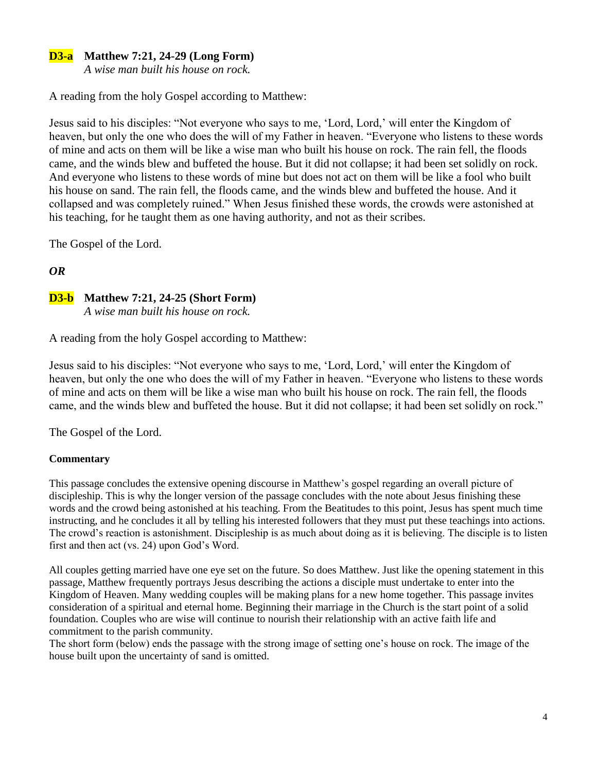### **D3-a Matthew 7:21, 24-29 (Long Form)**

*A wise man built his house on rock.*

A reading from the holy Gospel according to Matthew:

Jesus said to his disciples: "Not everyone who says to me, 'Lord, Lord,' will enter the Kingdom of heaven, but only the one who does the will of my Father in heaven. "Everyone who listens to these words of mine and acts on them will be like a wise man who built his house on rock. The rain fell, the floods came, and the winds blew and buffeted the house. But it did not collapse; it had been set solidly on rock. And everyone who listens to these words of mine but does not act on them will be like a fool who built his house on sand. The rain fell, the floods came, and the winds blew and buffeted the house. And it collapsed and was completely ruined." When Jesus finished these words, the crowds were astonished at his teaching, for he taught them as one having authority, and not as their scribes.

The Gospel of the Lord.

# *OR*

# **D3-b Matthew 7:21, 24-25 (Short Form)**

*A wise man built his house on rock.*

A reading from the holy Gospel according to Matthew:

Jesus said to his disciples: "Not everyone who says to me, 'Lord, Lord,' will enter the Kingdom of heaven, but only the one who does the will of my Father in heaven. "Everyone who listens to these words of mine and acts on them will be like a wise man who built his house on rock. The rain fell, the floods came, and the winds blew and buffeted the house. But it did not collapse; it had been set solidly on rock."

The Gospel of the Lord.

### **Commentary**

This passage concludes the extensive opening discourse in Matthew's gospel regarding an overall picture of discipleship. This is why the longer version of the passage concludes with the note about Jesus finishing these words and the crowd being astonished at his teaching. From the Beatitudes to this point, Jesus has spent much time instructing, and he concludes it all by telling his interested followers that they must put these teachings into actions. The crowd's reaction is astonishment. Discipleship is as much about doing as it is believing. The disciple is to listen first and then act (vs. 24) upon God's Word.

All couples getting married have one eye set on the future. So does Matthew. Just like the opening statement in this passage, Matthew frequently portrays Jesus describing the actions a disciple must undertake to enter into the Kingdom of Heaven. Many wedding couples will be making plans for a new home together. This passage invites consideration of a spiritual and eternal home. Beginning their marriage in the Church is the start point of a solid foundation. Couples who are wise will continue to nourish their relationship with an active faith life and commitment to the parish community.

The short form (below) ends the passage with the strong image of setting one's house on rock. The image of the house built upon the uncertainty of sand is omitted.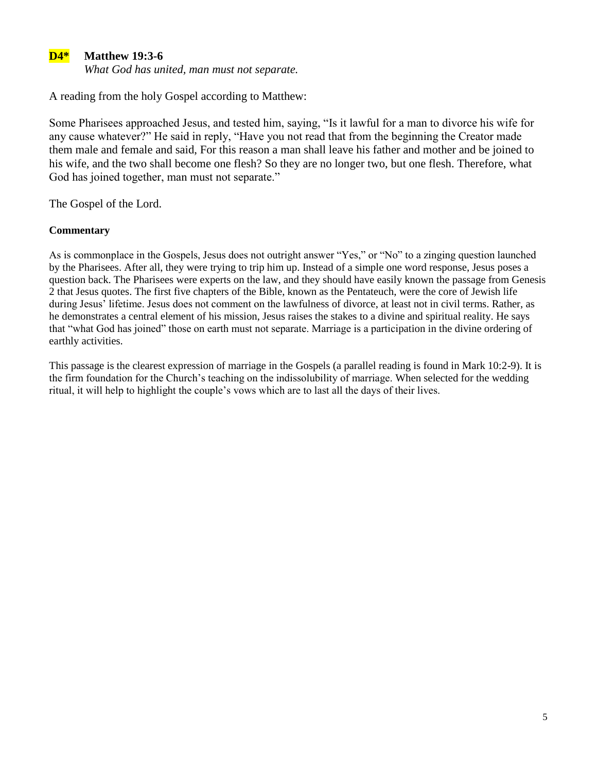### **D4\* Matthew 19:3-6**

*What God has united, man must not separate.*

A reading from the holy Gospel according to Matthew:

Some Pharisees approached Jesus, and tested him, saying, "Is it lawful for a man to divorce his wife for any cause whatever?" He said in reply, "Have you not read that from the beginning the Creator made them male and female and said, For this reason a man shall leave his father and mother and be joined to his wife, and the two shall become one flesh? So they are no longer two, but one flesh. Therefore, what God has joined together, man must not separate."

The Gospel of the Lord.

#### **Commentary**

As is commonplace in the Gospels, Jesus does not outright answer "Yes," or "No" to a zinging question launched by the Pharisees. After all, they were trying to trip him up. Instead of a simple one word response, Jesus poses a question back. The Pharisees were experts on the law, and they should have easily known the passage from Genesis 2 that Jesus quotes. The first five chapters of the Bible, known as the Pentateuch, were the core of Jewish life during Jesus' lifetime. Jesus does not comment on the lawfulness of divorce, at least not in civil terms. Rather, as he demonstrates a central element of his mission, Jesus raises the stakes to a divine and spiritual reality. He says that "what God has joined" those on earth must not separate. Marriage is a participation in the divine ordering of earthly activities.

This passage is the clearest expression of marriage in the Gospels (a parallel reading is found in Mark 10:2-9). It is the firm foundation for the Church's teaching on the indissolubility of marriage. When selected for the wedding ritual, it will help to highlight the couple's vows which are to last all the days of their lives.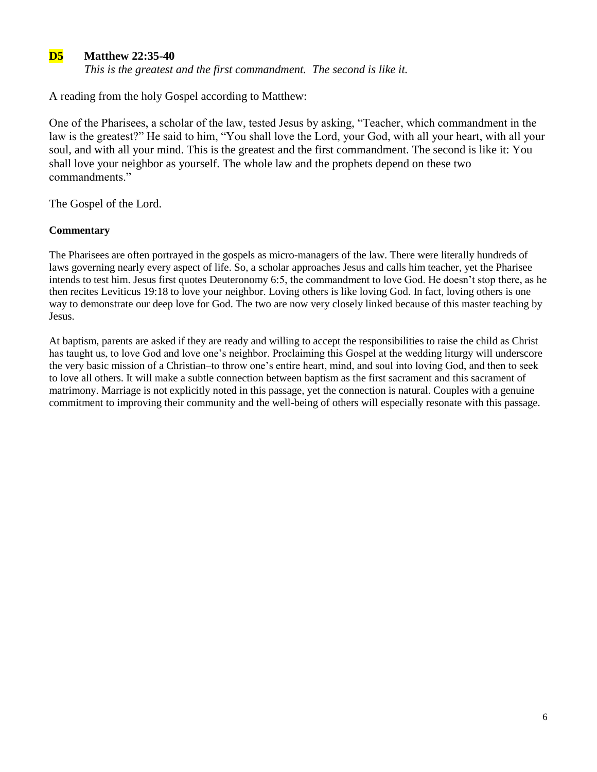### **D5 Matthew 22:35-40**

*This is the greatest and the first commandment. The second is like it.*

A reading from the holy Gospel according to Matthew:

One of the Pharisees, a scholar of the law, tested Jesus by asking, "Teacher, which commandment in the law is the greatest?" He said to him, "You shall love the Lord, your God, with all your heart, with all your soul, and with all your mind. This is the greatest and the first commandment. The second is like it: You shall love your neighbor as yourself. The whole law and the prophets depend on these two commandments."

The Gospel of the Lord.

#### **Commentary**

The Pharisees are often portrayed in the gospels as micro-managers of the law. There were literally hundreds of laws governing nearly every aspect of life. So, a scholar approaches Jesus and calls him teacher, yet the Pharisee intends to test him. Jesus first quotes Deuteronomy 6:5, the commandment to love God. He doesn't stop there, as he then recites Leviticus 19:18 to love your neighbor. Loving others is like loving God. In fact, loving others is one way to demonstrate our deep love for God. The two are now very closely linked because of this master teaching by Jesus.

At baptism, parents are asked if they are ready and willing to accept the responsibilities to raise the child as Christ has taught us, to love God and love one's neighbor. Proclaiming this Gospel at the wedding liturgy will underscore the very basic mission of a Christian–to throw one's entire heart, mind, and soul into loving God, and then to seek to love all others. It will make a subtle connection between baptism as the first sacrament and this sacrament of matrimony. Marriage is not explicitly noted in this passage, yet the connection is natural. Couples with a genuine commitment to improving their community and the well-being of others will especially resonate with this passage.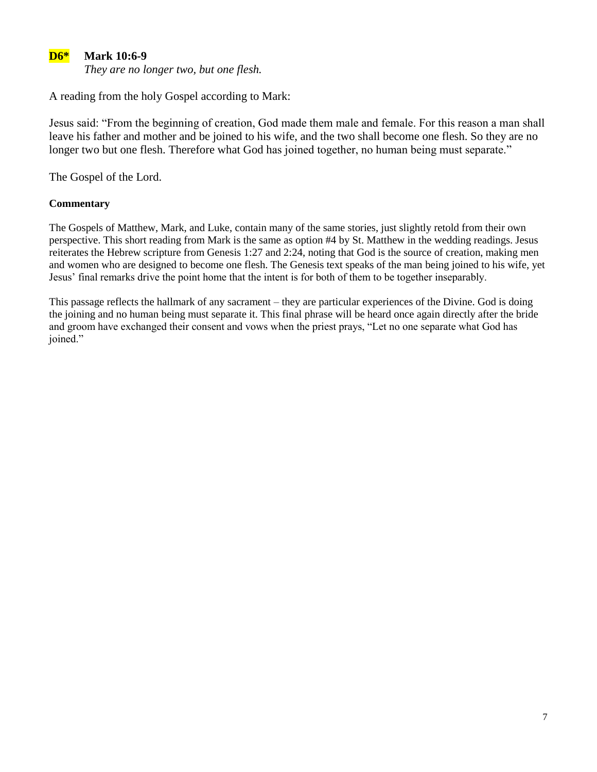# **D6\* Mark 10:6-9**

*They are no longer two, but one flesh.*

A reading from the holy Gospel according to Mark:

Jesus said: "From the beginning of creation, God made them male and female. For this reason a man shall leave his father and mother and be joined to his wife, and the two shall become one flesh. So they are no longer two but one flesh. Therefore what God has joined together, no human being must separate."

The Gospel of the Lord.

#### **Commentary**

The Gospels of Matthew, Mark, and Luke, contain many of the same stories, just slightly retold from their own perspective. This short reading from Mark is the same as option #4 by St. Matthew in the wedding readings. Jesus reiterates the Hebrew scripture from Genesis 1:27 and 2:24, noting that God is the source of creation, making men and women who are designed to become one flesh. The Genesis text speaks of the man being joined to his wife, yet Jesus' final remarks drive the point home that the intent is for both of them to be together inseparably.

This passage reflects the hallmark of any sacrament – they are particular experiences of the Divine. God is doing the joining and no human being must separate it. This final phrase will be heard once again directly after the bride and groom have exchanged their consent and vows when the priest prays, "Let no one separate what God has joined."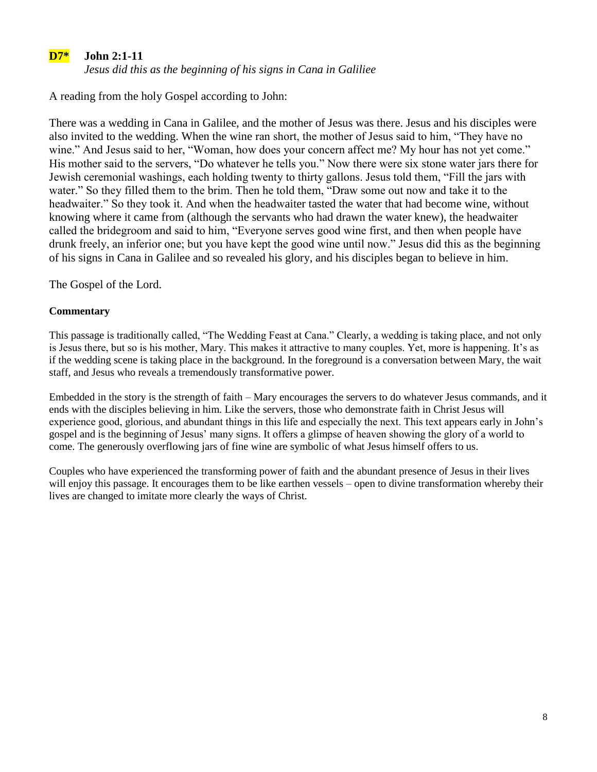# **D7\* John 2:1-11**

*Jesus did this as the beginning of his signs in Cana in Galiliee*

A reading from the holy Gospel according to John:

There was a wedding in Cana in Galilee, and the mother of Jesus was there. Jesus and his disciples were also invited to the wedding. When the wine ran short, the mother of Jesus said to him, "They have no wine." And Jesus said to her, "Woman, how does your concern affect me? My hour has not yet come." His mother said to the servers, "Do whatever he tells you." Now there were six stone water jars there for Jewish ceremonial washings, each holding twenty to thirty gallons. Jesus told them, "Fill the jars with water." So they filled them to the brim. Then he told them, "Draw some out now and take it to the headwaiter." So they took it. And when the headwaiter tasted the water that had become wine, without knowing where it came from (although the servants who had drawn the water knew), the headwaiter called the bridegroom and said to him, "Everyone serves good wine first, and then when people have drunk freely, an inferior one; but you have kept the good wine until now." Jesus did this as the beginning of his signs in Cana in Galilee and so revealed his glory, and his disciples began to believe in him.

The Gospel of the Lord.

#### **Commentary**

This passage is traditionally called, "The Wedding Feast at Cana." Clearly, a wedding is taking place, and not only is Jesus there, but so is his mother, Mary. This makes it attractive to many couples. Yet, more is happening. It's as if the wedding scene is taking place in the background. In the foreground is a conversation between Mary, the wait staff, and Jesus who reveals a tremendously transformative power.

Embedded in the story is the strength of faith – Mary encourages the servers to do whatever Jesus commands, and it ends with the disciples believing in him. Like the servers, those who demonstrate faith in Christ Jesus will experience good, glorious, and abundant things in this life and especially the next. This text appears early in John's gospel and is the beginning of Jesus' many signs. It offers a glimpse of heaven showing the glory of a world to come. The generously overflowing jars of fine wine are symbolic of what Jesus himself offers to us.

Couples who have experienced the transforming power of faith and the abundant presence of Jesus in their lives will enjoy this passage. It encourages them to be like earthen vessels – open to divine transformation whereby their lives are changed to imitate more clearly the ways of Christ.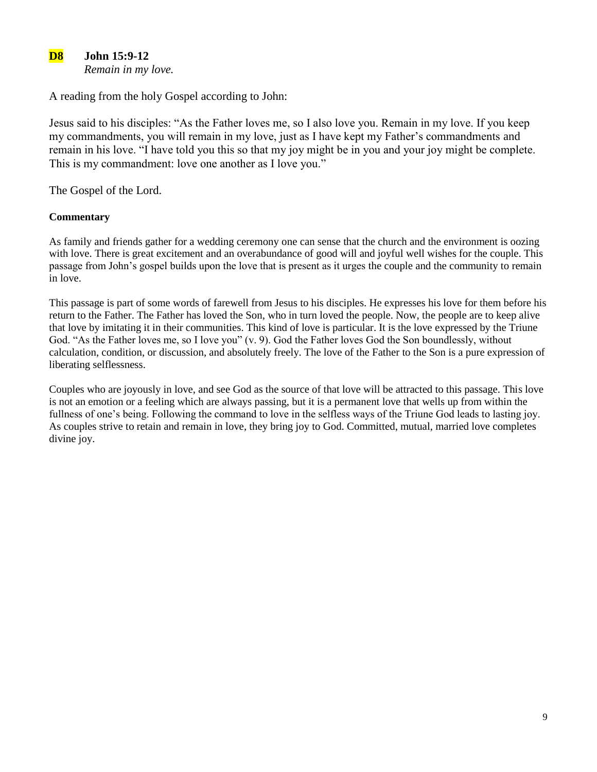# **D8 John 15:9-12**

*Remain in my love.*

A reading from the holy Gospel according to John:

Jesus said to his disciples: "As the Father loves me, so I also love you. Remain in my love. If you keep my commandments, you will remain in my love, just as I have kept my Father's commandments and remain in his love. "I have told you this so that my joy might be in you and your joy might be complete. This is my commandment: love one another as I love you."

The Gospel of the Lord.

### **Commentary**

As family and friends gather for a wedding ceremony one can sense that the church and the environment is oozing with love. There is great excitement and an overabundance of good will and joyful well wishes for the couple. This passage from John's gospel builds upon the love that is present as it urges the couple and the community to remain in love.

This passage is part of some words of farewell from Jesus to his disciples. He expresses his love for them before his return to the Father. The Father has loved the Son, who in turn loved the people. Now, the people are to keep alive that love by imitating it in their communities. This kind of love is particular. It is the love expressed by the Triune God. "As the Father loves me, so I love you" (v. 9). God the Father loves God the Son boundlessly, without calculation, condition, or discussion, and absolutely freely. The love of the Father to the Son is a pure expression of liberating selflessness.

Couples who are joyously in love, and see God as the source of that love will be attracted to this passage. This love is not an emotion or a feeling which are always passing, but it is a permanent love that wells up from within the fullness of one's being. Following the command to love in the selfless ways of the Triune God leads to lasting joy. As couples strive to retain and remain in love, they bring joy to God. Committed, mutual, married love completes divine joy.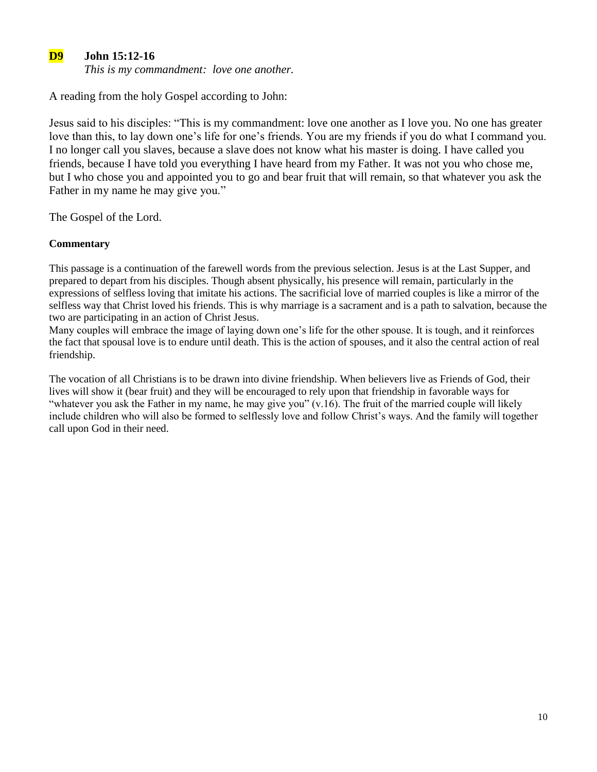# **D9 John 15:12-16**

*This is my commandment: love one another.*

A reading from the holy Gospel according to John:

Jesus said to his disciples: "This is my commandment: love one another as I love you. No one has greater love than this, to lay down one's life for one's friends. You are my friends if you do what I command you. I no longer call you slaves, because a slave does not know what his master is doing. I have called you friends, because I have told you everything I have heard from my Father. It was not you who chose me, but I who chose you and appointed you to go and bear fruit that will remain, so that whatever you ask the Father in my name he may give you."

The Gospel of the Lord.

#### **Commentary**

This passage is a continuation of the farewell words from the previous selection. Jesus is at the Last Supper, and prepared to depart from his disciples. Though absent physically, his presence will remain, particularly in the expressions of selfless loving that imitate his actions. The sacrificial love of married couples is like a mirror of the selfless way that Christ loved his friends. This is why marriage is a sacrament and is a path to salvation, because the two are participating in an action of Christ Jesus.

Many couples will embrace the image of laying down one's life for the other spouse. It is tough, and it reinforces the fact that spousal love is to endure until death. This is the action of spouses, and it also the central action of real friendship.

The vocation of all Christians is to be drawn into divine friendship. When believers live as Friends of God, their lives will show it (bear fruit) and they will be encouraged to rely upon that friendship in favorable ways for "whatever you ask the Father in my name, he may give you" (v.16). The fruit of the married couple will likely include children who will also be formed to selflessly love and follow Christ's ways. And the family will together call upon God in their need.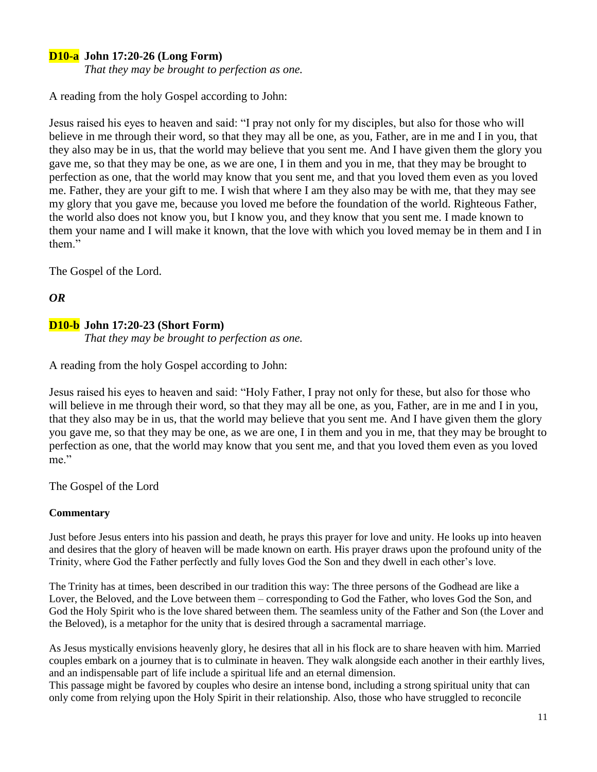### **D10-a John 17:20-26 (Long Form)**

*That they may be brought to perfection as one.*

A reading from the holy Gospel according to John:

Jesus raised his eyes to heaven and said: "I pray not only for my disciples, but also for those who will believe in me through their word, so that they may all be one, as you, Father, are in me and I in you, that they also may be in us, that the world may believe that you sent me. And I have given them the glory you gave me, so that they may be one, as we are one, I in them and you in me, that they may be brought to perfection as one, that the world may know that you sent me, and that you loved them even as you loved me. Father, they are your gift to me. I wish that where I am they also may be with me, that they may see my glory that you gave me, because you loved me before the foundation of the world. Righteous Father, the world also does not know you, but I know you, and they know that you sent me. I made known to them your name and I will make it known, that the love with which you loved memay be in them and I in them"

The Gospel of the Lord.

### *OR*

# **D10-b John 17:20-23 (Short Form)**

*That they may be brought to perfection as one.*

A reading from the holy Gospel according to John:

Jesus raised his eyes to heaven and said: "Holy Father, I pray not only for these, but also for those who will believe in me through their word, so that they may all be one, as you, Father, are in me and I in you, that they also may be in us, that the world may believe that you sent me. And I have given them the glory you gave me, so that they may be one, as we are one, I in them and you in me, that they may be brought to perfection as one, that the world may know that you sent me, and that you loved them even as you loved me."

The Gospel of the Lord

### **Commentary**

Just before Jesus enters into his passion and death, he prays this prayer for love and unity. He looks up into heaven and desires that the glory of heaven will be made known on earth. His prayer draws upon the profound unity of the Trinity, where God the Father perfectly and fully loves God the Son and they dwell in each other's love.

The Trinity has at times, been described in our tradition this way: The three persons of the Godhead are like a Lover, the Beloved, and the Love between them – corresponding to God the Father, who loves God the Son, and God the Holy Spirit who is the love shared between them. The seamless unity of the Father and Son (the Lover and the Beloved), is a metaphor for the unity that is desired through a sacramental marriage.

As Jesus mystically envisions heavenly glory, he desires that all in his flock are to share heaven with him. Married couples embark on a journey that is to culminate in heaven. They walk alongside each another in their earthly lives, and an indispensable part of life include a spiritual life and an eternal dimension.

This passage might be favored by couples who desire an intense bond, including a strong spiritual unity that can only come from relying upon the Holy Spirit in their relationship. Also, those who have struggled to reconcile